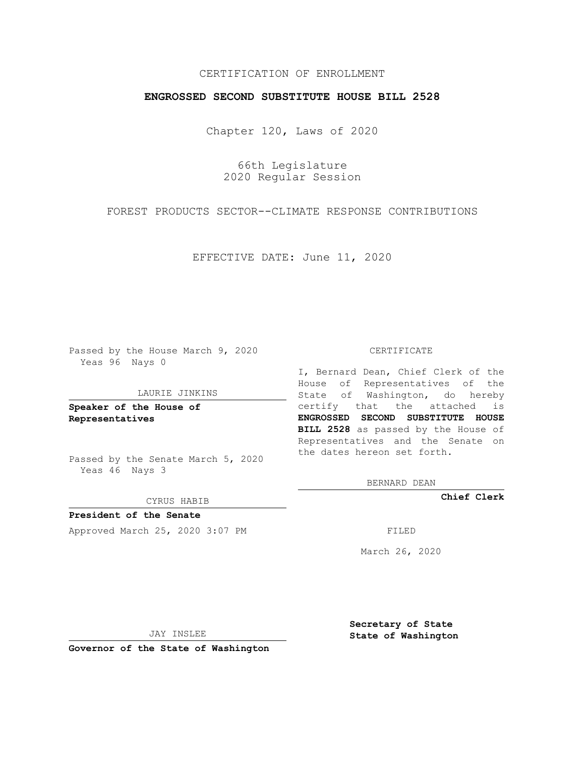# CERTIFICATION OF ENROLLMENT

## **ENGROSSED SECOND SUBSTITUTE HOUSE BILL 2528**

Chapter 120, Laws of 2020

66th Legislature 2020 Regular Session

FOREST PRODUCTS SECTOR--CLIMATE RESPONSE CONTRIBUTIONS

EFFECTIVE DATE: June 11, 2020

Passed by the House March 9, 2020 Yeas 96 Nays 0

#### LAURIE JINKINS

**Speaker of the House of Representatives**

Passed by the Senate March 5, 2020 Yeas 46 Nays 3

CYRUS HABIB

**President of the Senate** Approved March 25, 2020 3:07 PM

#### CERTIFICATE

I, Bernard Dean, Chief Clerk of the House of Representatives of the State of Washington, do hereby certify that the attached is **ENGROSSED SECOND SUBSTITUTE HOUSE BILL 2528** as passed by the House of Representatives and the Senate on the dates hereon set forth.

BERNARD DEAN

**Chief Clerk**

March 26, 2020

JAY INSLEE

**Governor of the State of Washington**

**Secretary of State State of Washington**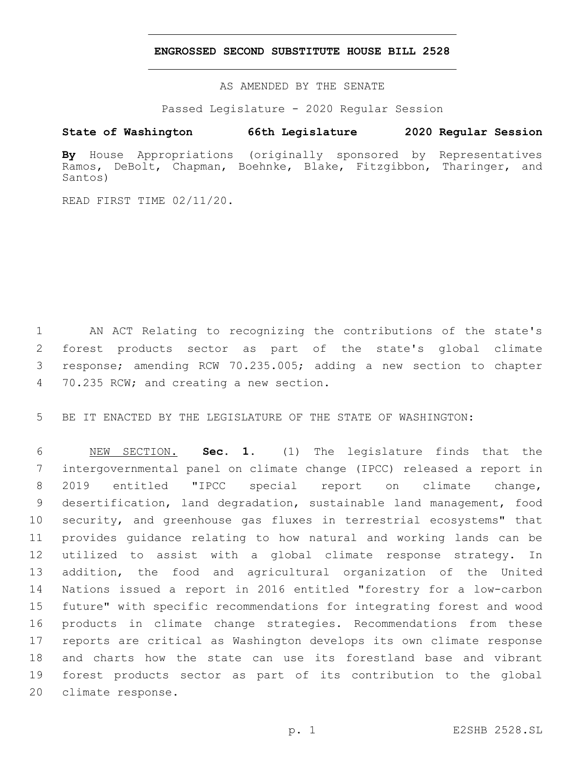### **ENGROSSED SECOND SUBSTITUTE HOUSE BILL 2528**

AS AMENDED BY THE SENATE

Passed Legislature - 2020 Regular Session

# **State of Washington 66th Legislature 2020 Regular Session**

**By** House Appropriations (originally sponsored by Representatives Ramos, DeBolt, Chapman, Boehnke, Blake, Fitzgibbon, Tharinger, and Santos)

READ FIRST TIME 02/11/20.

 AN ACT Relating to recognizing the contributions of the state's forest products sector as part of the state's global climate response; amending RCW 70.235.005; adding a new section to chapter 4 70.235 RCW; and creating a new section.

BE IT ENACTED BY THE LEGISLATURE OF THE STATE OF WASHINGTON:

 NEW SECTION. **Sec. 1.** (1) The legislature finds that the intergovernmental panel on climate change (IPCC) released a report in 2019 entitled "IPCC special report on climate change, desertification, land degradation, sustainable land management, food security, and greenhouse gas fluxes in terrestrial ecosystems" that provides guidance relating to how natural and working lands can be utilized to assist with a global climate response strategy. In addition, the food and agricultural organization of the United Nations issued a report in 2016 entitled "forestry for a low-carbon future" with specific recommendations for integrating forest and wood products in climate change strategies. Recommendations from these reports are critical as Washington develops its own climate response and charts how the state can use its forestland base and vibrant forest products sector as part of its contribution to the global 20 climate response.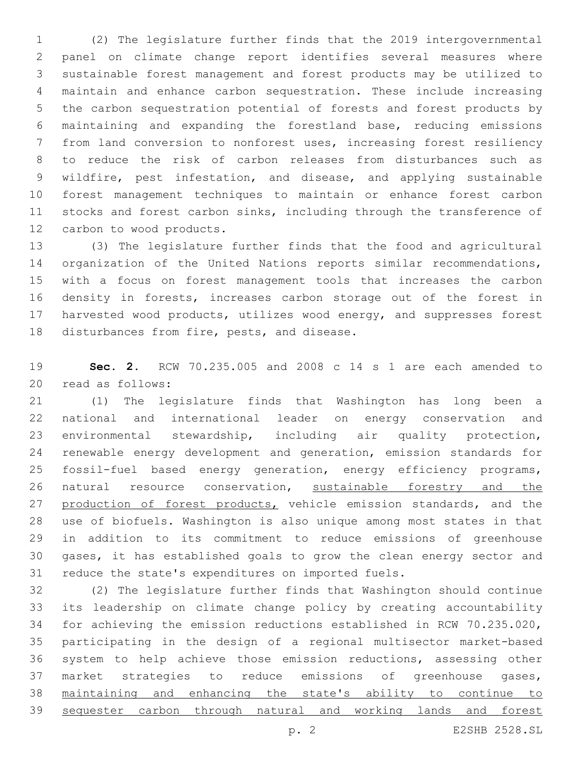(2) The legislature further finds that the 2019 intergovernmental panel on climate change report identifies several measures where sustainable forest management and forest products may be utilized to maintain and enhance carbon sequestration. These include increasing the carbon sequestration potential of forests and forest products by maintaining and expanding the forestland base, reducing emissions from land conversion to nonforest uses, increasing forest resiliency to reduce the risk of carbon releases from disturbances such as wildfire, pest infestation, and disease, and applying sustainable forest management techniques to maintain or enhance forest carbon 11 stocks and forest carbon sinks, including through the transference of 12 carbon to wood products.

 (3) The legislature further finds that the food and agricultural organization of the United Nations reports similar recommendations, with a focus on forest management tools that increases the carbon density in forests, increases carbon storage out of the forest in harvested wood products, utilizes wood energy, and suppresses forest 18 disturbances from fire, pests, and disease.

 **Sec. 2.** RCW 70.235.005 and 2008 c 14 s 1 are each amended to 20 read as follows:

 (1) The legislature finds that Washington has long been a national and international leader on energy conservation and environmental stewardship, including air quality protection, renewable energy development and generation, emission standards for fossil-fuel based energy generation, energy efficiency programs, 26 natural resource conservation, sustainable forestry and the 27 production of forest products, vehicle emission standards, and the use of biofuels. Washington is also unique among most states in that in addition to its commitment to reduce emissions of greenhouse gases, it has established goals to grow the clean energy sector and reduce the state's expenditures on imported fuels.

 (2) The legislature further finds that Washington should continue its leadership on climate change policy by creating accountability for achieving the emission reductions established in RCW 70.235.020, participating in the design of a regional multisector market-based system to help achieve those emission reductions, assessing other market strategies to reduce emissions of greenhouse gases, maintaining and enhancing the state's ability to continue to sequester carbon through natural and working lands and forest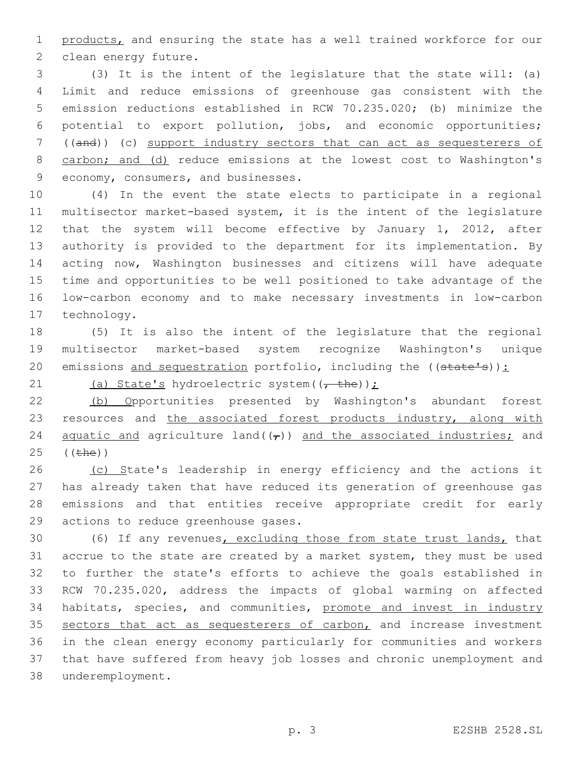products, and ensuring the state has a well trained workforce for our 2 clean energy future.

 (3) It is the intent of the legislature that the state will: (a) Limit and reduce emissions of greenhouse gas consistent with the emission reductions established in RCW 70.235.020; (b) minimize the potential to export pollution, jobs, and economic opportunities; ((and)) (c) support industry sectors that can act as sequesterers of 8 carbon; and (d) reduce emissions at the lowest cost to Washington's 9 economy, consumers, and businesses.

 (4) In the event the state elects to participate in a regional multisector market-based system, it is the intent of the legislature that the system will become effective by January 1, 2012, after authority is provided to the department for its implementation. By acting now, Washington businesses and citizens will have adequate time and opportunities to be well positioned to take advantage of the low-carbon economy and to make necessary investments in low-carbon 17 technology.

 (5) It is also the intent of the legislature that the regional multisector market-based system recognize Washington's unique 20 emissions and sequestration portfolio, including the ((state's)):

21 (a) State's hydroelectric system( $\frac{1}{t}$ the));

 (b) Opportunities presented by Washington's abundant forest 23 resources and the associated forest products industry, along with 24 aquatic and agriculture land( $(\tau)$ ) and the associated industries; and (( $the$ ))

26 (c) State's leadership in energy efficiency and the actions it has already taken that have reduced its generation of greenhouse gas emissions and that entities receive appropriate credit for early 29 actions to reduce greenhouse gases.

 (6) If any revenues, excluding those from state trust lands, that accrue to the state are created by a market system, they must be used to further the state's efforts to achieve the goals established in RCW 70.235.020, address the impacts of global warming on affected habitats, species, and communities, promote and invest in industry 35 sectors that act as sequesterers of carbon, and increase investment in the clean energy economy particularly for communities and workers that have suffered from heavy job losses and chronic unemployment and underemployment.38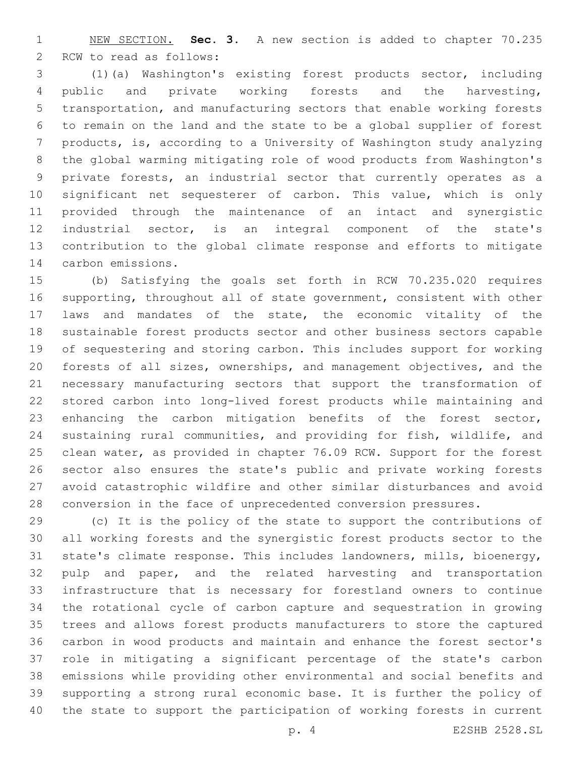NEW SECTION. **Sec. 3.** A new section is added to chapter 70.235 2 RCW to read as follows:

 (1)(a) Washington's existing forest products sector, including public and private working forests and the harvesting, transportation, and manufacturing sectors that enable working forests to remain on the land and the state to be a global supplier of forest products, is, according to a University of Washington study analyzing the global warming mitigating role of wood products from Washington's private forests, an industrial sector that currently operates as a significant net sequesterer of carbon. This value, which is only provided through the maintenance of an intact and synergistic industrial sector, is an integral component of the state's contribution to the global climate response and efforts to mitigate 14 carbon emissions.

 (b) Satisfying the goals set forth in RCW 70.235.020 requires supporting, throughout all of state government, consistent with other laws and mandates of the state, the economic vitality of the sustainable forest products sector and other business sectors capable of sequestering and storing carbon. This includes support for working forests of all sizes, ownerships, and management objectives, and the necessary manufacturing sectors that support the transformation of stored carbon into long-lived forest products while maintaining and enhancing the carbon mitigation benefits of the forest sector, sustaining rural communities, and providing for fish, wildlife, and clean water, as provided in chapter 76.09 RCW. Support for the forest sector also ensures the state's public and private working forests avoid catastrophic wildfire and other similar disturbances and avoid conversion in the face of unprecedented conversion pressures.

 (c) It is the policy of the state to support the contributions of all working forests and the synergistic forest products sector to the state's climate response. This includes landowners, mills, bioenergy, 32 pulp and paper, and the related harvesting and transportation infrastructure that is necessary for forestland owners to continue the rotational cycle of carbon capture and sequestration in growing trees and allows forest products manufacturers to store the captured carbon in wood products and maintain and enhance the forest sector's role in mitigating a significant percentage of the state's carbon emissions while providing other environmental and social benefits and supporting a strong rural economic base. It is further the policy of the state to support the participation of working forests in current